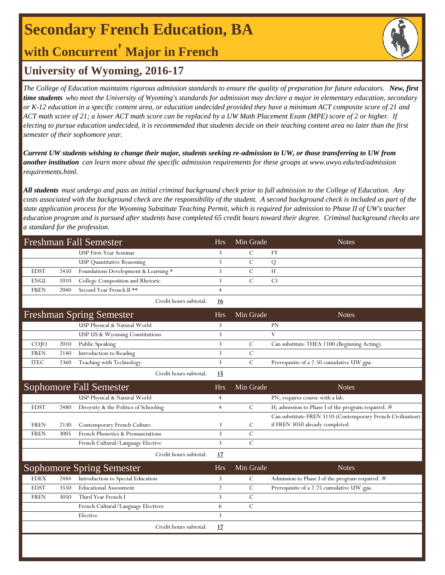# **Secondary French Education, BA**

## **with Concurrent† Major in French**



### **University of Wyoming, 2016-17**

*The College of Education maintains rigorous admission standards to ensure the quality of preparation for future educators. New, first time students who meet the University of Wyoming's standards for admission may declare a major in elementary education, secondary or K-12 education in a specific content area, or education undecided provided they have a minimum ACT composite score of 21 and ACT math score of 21; a lower ACT math score can be replaced by a UW Math Placement Exam (MPE) score of 2 or higher. If electing to pursue education undecided, it is recommended that students decide on their teaching content area no later than the first semester of their sophomore year.*

*Current UW students wishing to change their major, students seeking re-admission to UW, or those transferring to UW from another institution can learn more about the specific admission requirements for these groups at www.uwyo.edu/ted/admission requirements.html.* 

*All students must undergo and pass an initial criminal background check prior to full admission to the College of Education. Any costs associated with the background check are the responsibility of the student. A second background check is included as part of the state application process for the Wyoming Substitute Teaching Permit, which is required for admission to Phase II of UW's teacher education program and is pursued after students have completed 65 credit hours toward their degree. Criminal background checks are a standard for the profession.*

| <b>Freshman Fall Semester</b> |      |                                       | <b>Hrs</b>     | Min Grade     | <b>Notes</b>                                                |
|-------------------------------|------|---------------------------------------|----------------|---------------|-------------------------------------------------------------|
|                               |      | <b>USP First-Year Seminar</b>         | 3              | $\mathbf C$   | FY                                                          |
|                               |      | <b>USP Quantitative Reasoning</b>     | 3              | $\mathbf C$   | Q                                                           |
| <b>EDST</b>                   | 2450 | Foundations Development & Learning *  | 3              | $\mathcal{C}$ | H                                                           |
| <b>ENGL</b>                   | 1010 | College Composition and Rhetoric      | 3              | $\mathcal{C}$ | C1                                                          |
| <b>FREN</b>                   | 2040 | Second Year French II **              | $\overline{4}$ |               |                                                             |
|                               |      | Credit hours subtotal:                | 16             |               |                                                             |
|                               |      | <b>Freshman Spring Semester</b>       | <b>Hrs</b>     | Min Grade     | <b>Notes</b>                                                |
|                               |      | USP Physical & Natural World          | 3              |               | PN                                                          |
|                               |      | USP US & Wyoming Constitutions        | 3              |               | V                                                           |
| COJO                          | 2010 | Public Speaking                       | 3              | $\mathcal{C}$ | Can substitute THEA 1100 (Beginning Acting).                |
| <b>FREN</b>                   | 2140 | Introduction to Reading               | 3              | $\mathbf C$   |                                                             |
| <b>ITEC</b>                   | 2360 | Teaching with Technology              | 3              | $\mathcal{C}$ | Prerequisite of a 2.50 cumulative UW gpa.                   |
|                               |      | Credit hours subtotal:                | <u>15</u>      |               |                                                             |
|                               |      | <b>Sophomore Fall Semester</b>        | <b>Hrs</b>     | Min Grade     | <b>Notes</b>                                                |
|                               |      | USP Physical & Natural World          | 4              |               | PN; requires course with a lab.                             |
| <b>EDST</b>                   | 2480 | Diversity & the Politics of Schooling | $\overline{4}$ | $\mathcal{C}$ | H; admission to Phase I of the program required. #          |
|                               |      |                                       |                |               | Can substitute FREN 3110 (Contemporary French Civilization) |
| <b>FREN</b>                   | 2130 | Contemporary French Culture           | 3              | $\mathcal{C}$ | if FREN 3050 already completed.                             |
| <b>FREN</b>                   | 3005 | French Phonetics & Pronunciations     | 3              | $\mathcal{C}$ |                                                             |
|                               |      | French Cultural/Language Elective     | 3              | $\mathbf C$   |                                                             |
|                               |      | Credit hours subtotal:                | 17             |               |                                                             |
|                               |      | <b>Sophomore Spring Semester</b>      | <b>Hrs</b>     | Min Grade     | <b>Notes</b>                                                |
| <b>EDEX</b>                   | 2484 | Introduction to Special Education     | 3              | $\mathbf C$   | Admission to Phase I of the program required. #             |
| <b>EDST</b>                   | 3550 | <b>Educational Assessment</b>         | $\overline{2}$ | $\mathcal{C}$ | Prerequisite of a 2.75 cumulative UW gpa.                   |
| <b>FREN</b>                   | 3050 | Third Year French I                   | 3              | $\mathcal{C}$ |                                                             |
|                               |      | French Cultural/Language Electives    | 6              | $\mathcal{C}$ |                                                             |
|                               |      | Elective                              | 3              |               |                                                             |
|                               |      | Credit hours subtotal:                | 17             |               |                                                             |
|                               |      |                                       |                |               |                                                             |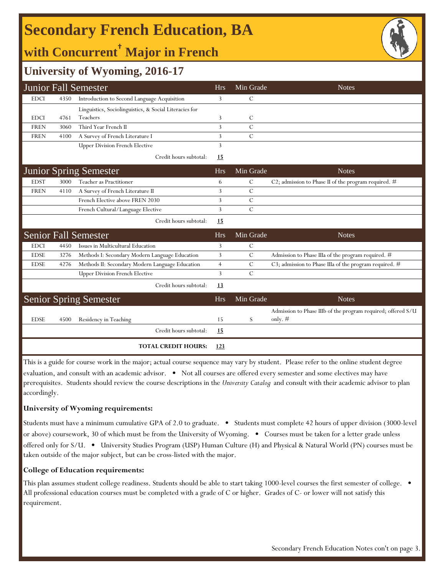# **Secondary French Education, BA**

# **with Concurrent† Major in French**



### **University of Wyoming, 2016-17**

|             |      | <b>Junior Fall Semester</b>                            | <b>Hrs</b>     | Min Grade     | <b>Notes</b>                                                              |
|-------------|------|--------------------------------------------------------|----------------|---------------|---------------------------------------------------------------------------|
| <b>EDCI</b> | 4350 | Introduction to Second Language Acquisition            | 3              | $\mathcal{C}$ |                                                                           |
|             |      | Linguistics, Sociolinguistics, & Social Literacies for |                |               |                                                                           |
| <b>EDCI</b> | 4761 | Teachers                                               | 3              | C             |                                                                           |
| <b>FREN</b> | 3060 | Third Year French II                                   | 3              | $\mathcal{C}$ |                                                                           |
| <b>FREN</b> | 4100 | A Survey of French Literature I                        | 3              | $\mathcal{C}$ |                                                                           |
|             |      | <b>Upper Division French Elective</b>                  | 3              |               |                                                                           |
|             |      | Credit hours subtotal:                                 | 15             |               |                                                                           |
|             |      | <b>Junior Spring Semester</b>                          | <b>Hrs</b>     | Min Grade     | <b>Notes</b>                                                              |
| <b>EDST</b> | 3000 | Teacher as Practitioner                                | 6              | $\mathcal{C}$ | C2; admission to Phase II of the program required. $#$                    |
| <b>FREN</b> | 4110 | A Survey of French Literature II                       | 3              | $\mathcal{C}$ |                                                                           |
|             |      | French Elective above FREN 2030                        | 3              | $\mathcal{C}$ |                                                                           |
|             |      | French Cultural/Language Elective                      | 3              | $\mathcal{C}$ |                                                                           |
|             |      | Credit hours subtotal:                                 | 15             |               |                                                                           |
|             |      | <b>Senior Fall Semester</b>                            | <b>Hrs</b>     | Min Grade     | <b>Notes</b>                                                              |
| <b>EDCI</b> | 4450 | Issues in Multicultural Education                      | 3              | $\mathcal{C}$ |                                                                           |
| <b>EDSE</b> | 3276 | Methods I: Secondary Modern Language Education         | 3              | $\mathcal{C}$ | Admission to Phase IIIa of the program required. #                        |
| <b>EDSE</b> | 4276 | Methods II: Secondary Modern Language Education        | $\overline{4}$ | $\mathcal{C}$ | C3; admission to Phase IIIa of the program required. #                    |
|             |      | <b>Upper Division French Elective</b>                  | 3              | $\mathcal{C}$ |                                                                           |
|             |      | Credit hours subtotal:                                 | 13             |               |                                                                           |
|             |      | <b>Senior Spring Semester</b>                          | <b>Hrs</b>     | Min Grade     | <b>Notes</b>                                                              |
| <b>EDSE</b> | 4500 | Residency in Teaching                                  | 15             | S             | Admission to Phase IIIb of the program required; offered S/U<br>only. $#$ |
|             |      | Credit hours subtotal:                                 | <u>15</u>      |               |                                                                           |
|             |      | <b>TOTAL CREDIT HOURS:</b>                             | <u>123</u>     |               |                                                                           |

This is a guide for course work in the major; actual course sequence may vary by student. Please refer to the online student degree evaluation, and consult with an academic advisor. • Not all courses are offered every semester and some electives may have prerequisites. Students should review the course descriptions in the *University Catalog* and consult with their academic advisor to plan accordingly.

#### **University of Wyoming requirements:**

Students must have a minimum cumulative GPA of 2.0 to graduate. • Students must complete 42 hours of upper division (3000-level or above) coursework, 30 of which must be from the University of Wyoming. • Courses must be taken for a letter grade unless offered only for S/U. • University Studies Program (USP) Human Culture (H) and Physical & Natural World (PN) courses must be taken outside of the major subject, but can be cross-listed with the major.

#### **College of Education requirements:**

This plan assumes student college readiness. Students should be able to start taking 1000-level courses the first semester of college. All professional education courses must be completed with a grade of C or higher. Grades of C- or lower will not satisfy this requirement.